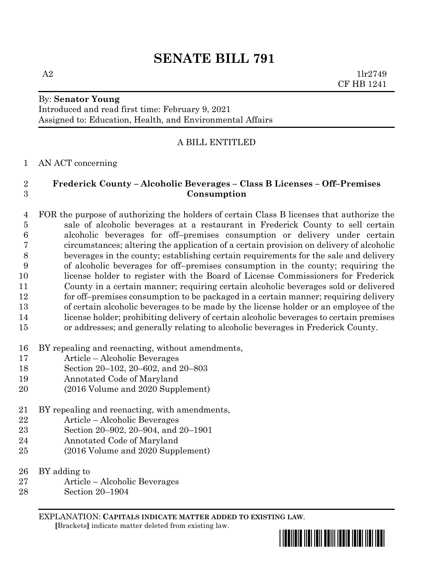# **SENATE BILL 791**

A2  $1\text{lr}2749$ CF HB 1241

# By: **Senator Young**

Introduced and read first time: February 9, 2021 Assigned to: Education, Health, and Environmental Affairs

## A BILL ENTITLED

#### AN ACT concerning

## **Frederick County – Alcoholic Beverages – Class B Licenses – Off–Premises Consumption**

 FOR the purpose of authorizing the holders of certain Class B licenses that authorize the sale of alcoholic beverages at a restaurant in Frederick County to sell certain alcoholic beverages for off–premises consumption or delivery under certain circumstances; altering the application of a certain provision on delivery of alcoholic beverages in the county; establishing certain requirements for the sale and delivery of alcoholic beverages for off–premises consumption in the county; requiring the license holder to register with the Board of License Commissioners for Frederick County in a certain manner; requiring certain alcoholic beverages sold or delivered for off–premises consumption to be packaged in a certain manner; requiring delivery of certain alcoholic beverages to be made by the license holder or an employee of the license holder; prohibiting delivery of certain alcoholic beverages to certain premises or addresses; and generally relating to alcoholic beverages in Frederick County.

- BY repealing and reenacting, without amendments,
- Article Alcoholic Beverages
- Section 20–102, 20–602, and 20–803
- Annotated Code of Maryland
- (2016 Volume and 2020 Supplement)
- BY repealing and reenacting, with amendments,
- Article Alcoholic Beverages
- Section 20–902, 20–904, and 20–1901
- Annotated Code of Maryland
- (2016 Volume and 2020 Supplement)
- BY adding to
- Article Alcoholic Beverages
- Section 20–1904

EXPLANATION: **CAPITALS INDICATE MATTER ADDED TO EXISTING LAW**.  **[**Brackets**]** indicate matter deleted from existing law.

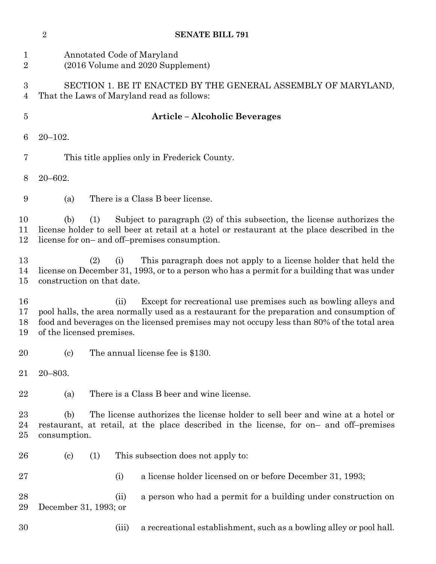|                       | $\overline{2}$                                                                                                                                                                                                                                                                                  | <b>SENATE BILL 791</b>                                                                                                                                                                                     |  |  |  |  |  |  |  |  |
|-----------------------|-------------------------------------------------------------------------------------------------------------------------------------------------------------------------------------------------------------------------------------------------------------------------------------------------|------------------------------------------------------------------------------------------------------------------------------------------------------------------------------------------------------------|--|--|--|--|--|--|--|--|
| 1<br>$\overline{2}$   | Annotated Code of Maryland<br>(2016 Volume and 2020 Supplement)                                                                                                                                                                                                                                 |                                                                                                                                                                                                            |  |  |  |  |  |  |  |  |
| $\boldsymbol{3}$<br>4 | SECTION 1. BE IT ENACTED BY THE GENERAL ASSEMBLY OF MARYLAND,<br>That the Laws of Maryland read as follows:                                                                                                                                                                                     |                                                                                                                                                                                                            |  |  |  |  |  |  |  |  |
| $\overline{5}$        | <b>Article - Alcoholic Beverages</b>                                                                                                                                                                                                                                                            |                                                                                                                                                                                                            |  |  |  |  |  |  |  |  |
| 6                     | $20 - 102.$                                                                                                                                                                                                                                                                                     |                                                                                                                                                                                                            |  |  |  |  |  |  |  |  |
| 7                     | This title applies only in Frederick County.                                                                                                                                                                                                                                                    |                                                                                                                                                                                                            |  |  |  |  |  |  |  |  |
| 8                     | $20 - 602.$                                                                                                                                                                                                                                                                                     |                                                                                                                                                                                                            |  |  |  |  |  |  |  |  |
| 9                     | (a)                                                                                                                                                                                                                                                                                             | There is a Class B beer license.                                                                                                                                                                           |  |  |  |  |  |  |  |  |
| 10<br>11<br>12        | Subject to paragraph (2) of this subsection, the license authorizes the<br>(1)<br>(b)<br>license holder to sell beer at retail at a hotel or restaurant at the place described in the<br>license for on- and off-premises consumption.                                                          |                                                                                                                                                                                                            |  |  |  |  |  |  |  |  |
| 13<br>14<br>15        |                                                                                                                                                                                                                                                                                                 | This paragraph does not apply to a license holder that held the<br>(2)<br>(i)<br>license on December 31, 1993, or to a person who has a permit for a building that was under<br>construction on that date. |  |  |  |  |  |  |  |  |
| 16<br>17<br>18<br>19  | Except for recreational use premises such as bowling alleys and<br>(ii)<br>pool halls, the area normally used as a restaurant for the preparation and consumption of<br>food and beverages on the licensed premises may not occupy less than 80% of the total area<br>of the licensed premises. |                                                                                                                                                                                                            |  |  |  |  |  |  |  |  |
| 20                    | (c)                                                                                                                                                                                                                                                                                             | The annual license fee is \$130.                                                                                                                                                                           |  |  |  |  |  |  |  |  |
| 21                    | $20 - 803.$                                                                                                                                                                                                                                                                                     |                                                                                                                                                                                                            |  |  |  |  |  |  |  |  |
| 22                    | (a)                                                                                                                                                                                                                                                                                             | There is a Class B beer and wine license.                                                                                                                                                                  |  |  |  |  |  |  |  |  |
| 23<br>24<br>25        | The license authorizes the license holder to sell beer and wine at a hotel or<br>(b)<br>restaurant, at retail, at the place described in the license, for on- and off-premises<br>consumption.                                                                                                  |                                                                                                                                                                                                            |  |  |  |  |  |  |  |  |
| 26                    | $\left( \mathrm{c}\right)$                                                                                                                                                                                                                                                                      | This subsection does not apply to:<br>(1)                                                                                                                                                                  |  |  |  |  |  |  |  |  |
| 27                    |                                                                                                                                                                                                                                                                                                 | a license holder licensed on or before December 31, 1993;<br>(i)                                                                                                                                           |  |  |  |  |  |  |  |  |
| 28<br>29              | December 31, 1993; or                                                                                                                                                                                                                                                                           | a person who had a permit for a building under construction on<br>(ii)                                                                                                                                     |  |  |  |  |  |  |  |  |
| 30                    |                                                                                                                                                                                                                                                                                                 | a recreational establishment, such as a bowling alley or pool hall.<br>(iii)                                                                                                                               |  |  |  |  |  |  |  |  |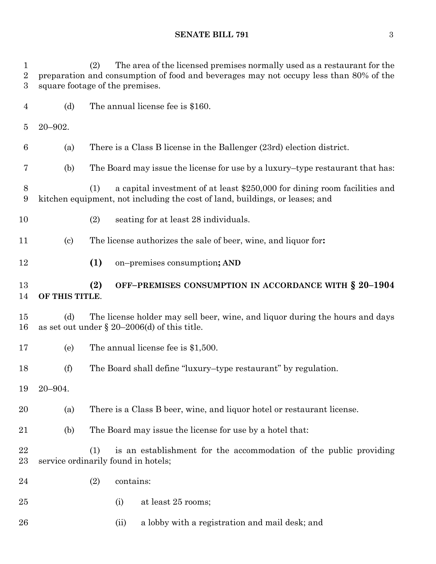(2) The area of the licensed premises normally used as a restaurant for the preparation and consumption of food and beverages may not occupy less than 80% of the square footage of the premises. (d) The annual license fee is \$160. 20–902. (a) There is a Class B license in the Ballenger (23rd) election district. (b) The Board may issue the license for use by a luxury–type restaurant that has: (1) a capital investment of at least \$250,000 for dining room facilities and kitchen equipment, not including the cost of land, buildings, or leases; and (2) seating for at least 28 individuals. (c) The license authorizes the sale of beer, wine, and liquor for**: (1)** on–premises consumption**; AND (2) OFF–PREMISES CONSUMPTION IN ACCORDANCE WITH § 20–1904 OF THIS TITLE**. (d) The license holder may sell beer, wine, and liquor during the hours and days 16 as set out under  $\S 20-2006$  (d) of this title. (e) The annual license fee is \$1,500. (f) The Board shall define "luxury–type restaurant" by regulation. 20–904. (a) There is a Class B beer, wine, and liquor hotel or restaurant license. (b) The Board may issue the license for use by a hotel that: (1) is an establishment for the accommodation of the public providing service ordinarily found in hotels; (2) contains: (i) at least 25 rooms;

26 (ii) a lobby with a registration and mail desk; and

#### **SENATE BILL 791** 3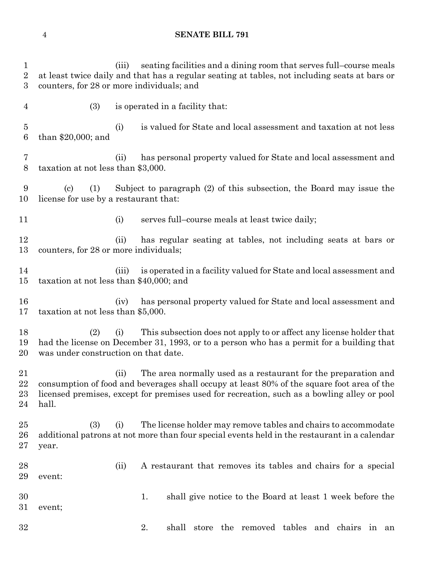#### **SENATE BILL 791**

 (iii) seating facilities and a dining room that serves full–course meals at least twice daily and that has a regular seating at tables, not including seats at bars or counters, for 28 or more individuals; and (3) is operated in a facility that: (i) is valued for State and local assessment and taxation at not less than \$20,000; and (ii) has personal property valued for State and local assessment and taxation at not less than \$3,000. (c) (1) Subject to paragraph (2) of this subsection, the Board may issue the license for use by a restaurant that: 11 (i) serves full–course meals at least twice daily; (ii) has regular seating at tables, not including seats at bars or counters, for 28 or more individuals; (iii) is operated in a facility valued for State and local assessment and taxation at not less than \$40,000; and (iv) has personal property valued for State and local assessment and taxation at not less than \$5,000. (2) (i) This subsection does not apply to or affect any license holder that had the license on December 31, 1993, or to a person who has a permit for a building that was under construction on that date. (ii) The area normally used as a restaurant for the preparation and consumption of food and beverages shall occupy at least 80% of the square foot area of the licensed premises, except for premises used for recreation, such as a bowling alley or pool hall. (3) (i) The license holder may remove tables and chairs to accommodate additional patrons at not more than four special events held in the restaurant in a calendar year. (ii) A restaurant that removes its tables and chairs for a special event: 1. shall give notice to the Board at least 1 week before the event; 2. shall store the removed tables and chairs in an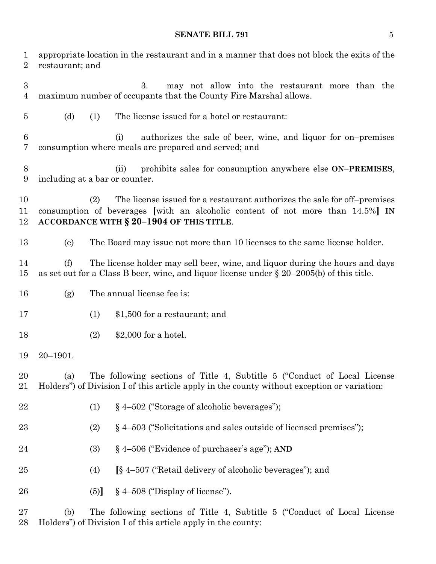# **SENATE BILL 791** 5

| $\mathbf 1$<br>$\overline{2}$      | restaurant; and                                                                                                                                                                     | appropriate location in the restaurant and in a manner that does not block the exits of the                                                                                                                   |  |  |  |  |  |  |  |  |
|------------------------------------|-------------------------------------------------------------------------------------------------------------------------------------------------------------------------------------|---------------------------------------------------------------------------------------------------------------------------------------------------------------------------------------------------------------|--|--|--|--|--|--|--|--|
| $\boldsymbol{3}$<br>$\overline{4}$ |                                                                                                                                                                                     | 3.<br>may not allow into the restaurant more than the<br>maximum number of occupants that the County Fire Marshal allows.                                                                                     |  |  |  |  |  |  |  |  |
| $\overline{5}$                     | (d)                                                                                                                                                                                 | The license issued for a hotel or restaurant:<br>(1)                                                                                                                                                          |  |  |  |  |  |  |  |  |
| 6<br>7                             |                                                                                                                                                                                     | authorizes the sale of beer, wine, and liquor for on-premises<br>(i)<br>consumption where meals are prepared and served; and                                                                                  |  |  |  |  |  |  |  |  |
| 8<br>9                             |                                                                                                                                                                                     | prohibits sales for consumption anywhere else ON-PREMISES,<br>(ii)<br>including at a bar or counter.                                                                                                          |  |  |  |  |  |  |  |  |
| 10<br>11<br>12                     |                                                                                                                                                                                     | The license issued for a restaurant authorizes the sale for off-premises<br>(2)<br>consumption of beverages [with an alcoholic content of not more than 14.5%] IN<br>ACCORDANCE WITH § 20-1904 OF THIS TITLE. |  |  |  |  |  |  |  |  |
| 13                                 | (e)                                                                                                                                                                                 | The Board may issue not more than 10 licenses to the same license holder.                                                                                                                                     |  |  |  |  |  |  |  |  |
| 14<br>15                           | The license holder may sell beer, wine, and liquor during the hours and days<br>(f)<br>as set out for a Class B beer, wine, and liquor license under $\S 20-2005(b)$ of this title. |                                                                                                                                                                                                               |  |  |  |  |  |  |  |  |
| 16                                 | (g)                                                                                                                                                                                 | The annual license fee is:                                                                                                                                                                                    |  |  |  |  |  |  |  |  |
| 17                                 |                                                                                                                                                                                     | (1)<br>\$1,500 for a restaurant; and                                                                                                                                                                          |  |  |  |  |  |  |  |  |
| 18                                 |                                                                                                                                                                                     | (2)<br>$$2,000$ for a hotel.                                                                                                                                                                                  |  |  |  |  |  |  |  |  |
| 19                                 | $20 - 1901.$                                                                                                                                                                        |                                                                                                                                                                                                               |  |  |  |  |  |  |  |  |
| 20<br>21                           | (a)                                                                                                                                                                                 | The following sections of Title 4, Subtitle 5 ("Conduct of Local License")<br>Holders") of Division I of this article apply in the county without exception or variation:                                     |  |  |  |  |  |  |  |  |
| 22                                 |                                                                                                                                                                                     | § 4-502 ("Storage of alcoholic beverages");<br>(1)                                                                                                                                                            |  |  |  |  |  |  |  |  |
| 23                                 |                                                                                                                                                                                     | $\S$ 4–503 ("Solicitations and sales outside of licensed premises");<br>(2)                                                                                                                                   |  |  |  |  |  |  |  |  |
| 24                                 |                                                                                                                                                                                     | § 4-506 ("Evidence of purchaser's age"); AND<br>(3)                                                                                                                                                           |  |  |  |  |  |  |  |  |
| 25                                 |                                                                                                                                                                                     | [§ 4–507 ("Retail delivery of alcoholic beverages"); and<br>(4)                                                                                                                                               |  |  |  |  |  |  |  |  |
| 26                                 |                                                                                                                                                                                     | $§$ 4–508 ("Display of license").<br>(5)                                                                                                                                                                      |  |  |  |  |  |  |  |  |
| $\sqrt{27}$                        | (b)                                                                                                                                                                                 | The following sections of Title 4, Subtitle 5 ("Conduct of Local License"                                                                                                                                     |  |  |  |  |  |  |  |  |

Holders") of Division I of this article apply in the county: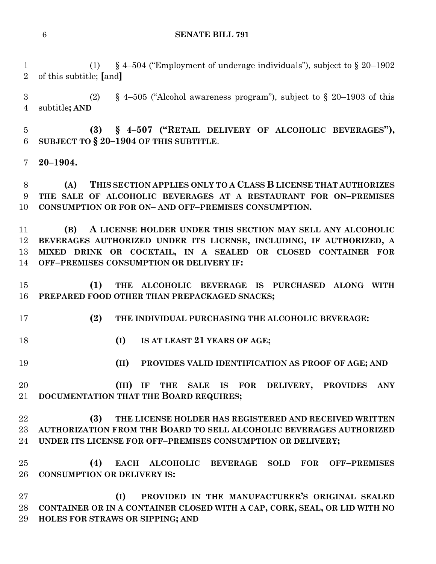#### **SENATE BILL 791**

 (1) § 4–504 ("Employment of underage individuals"), subject to § 20–1902 of this subtitle; **[**and**]**

3 (2) § 4–505 ("Alcohol awareness program"), subject to § 20–1903 of this subtitle**; AND**

 **(3) § 4–507 ("RETAIL DELIVERY OF ALCOHOLIC BEVERAGES"), SUBJECT TO § 20–1904 OF THIS SUBTITLE**.

**20–1904.**

 **(A) THIS SECTION APPLIES ONLY TO A CLASS B LICENSE THAT AUTHORIZES THE SALE OF ALCOHOLIC BEVERAGES AT A RESTAURANT FOR ON–PREMISES CONSUMPTION OR FOR ON– AND OFF–PREMISES CONSUMPTION.**

 **(B) A LICENSE HOLDER UNDER THIS SECTION MAY SELL ANY ALCOHOLIC BEVERAGES AUTHORIZED UNDER ITS LICENSE, INCLUDING, IF AUTHORIZED, A MIXED DRINK OR COCKTAIL, IN A SEALED OR CLOSED CONTAINER FOR OFF–PREMISES CONSUMPTION OR DELIVERY IF:**

 **(1) THE ALCOHOLIC BEVERAGE IS PURCHASED ALONG WITH PREPARED FOOD OTHER THAN PREPACKAGED SNACKS;**

- **(2) THE INDIVIDUAL PURCHASING THE ALCOHOLIC BEVERAGE:**
- **(I) IS AT LEAST 21 YEARS OF AGE;**
- **(II) PROVIDES VALID IDENTIFICATION AS PROOF OF AGE; AND**

 **(III) IF THE SALE IS FOR DELIVERY, PROVIDES ANY DOCUMENTATION THAT THE BOARD REQUIRES;**

 **(3) THE LICENSE HOLDER HAS REGISTERED AND RECEIVED WRITTEN AUTHORIZATION FROM THE BOARD TO SELL ALCOHOLIC BEVERAGES AUTHORIZED UNDER ITS LICENSE FOR OFF–PREMISES CONSUMPTION OR DELIVERY;**

 **(4) EACH ALCOHOLIC BEVERAGE SOLD FOR OFF–PREMISES CONSUMPTION OR DELIVERY IS:**

 **(I) PROVIDED IN THE MANUFACTURER'S ORIGINAL SEALED CONTAINER OR IN A CONTAINER CLOSED WITH A CAP, CORK, SEAL, OR LID WITH NO HOLES FOR STRAWS OR SIPPING; AND**